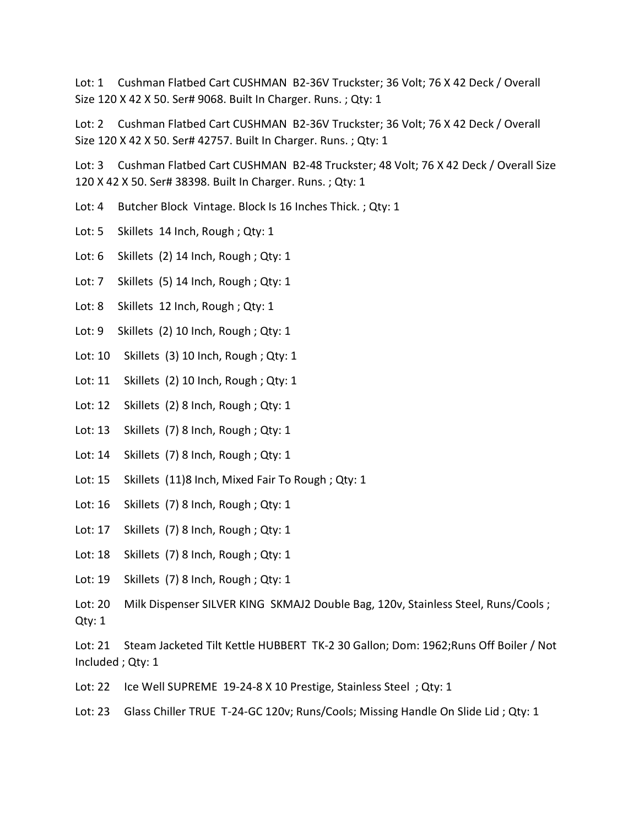Lot: 1 Cushman Flatbed Cart CUSHMAN B2-36V Truckster; 36 Volt; 76 X 42 Deck / Overall Size 120 X 42 X 50. Ser# 9068. Built In Charger. Runs. ; Qty: 1

Lot: 2 Cushman Flatbed Cart CUSHMAN B2-36V Truckster; 36 Volt; 76 X 42 Deck / Overall Size 120 X 42 X 50. Ser# 42757. Built In Charger. Runs. ; Qty: 1

Lot: 3 Cushman Flatbed Cart CUSHMAN B2-48 Truckster; 48 Volt; 76 X 42 Deck / Overall Size 120 X 42 X 50. Ser# 38398. Built In Charger. Runs. ; Qty: 1

- Lot: 4 Butcher Block Vintage. Block Is 16 Inches Thick. ; Qty: 1
- Lot: 5 Skillets 14 Inch, Rough ; Qty: 1
- Lot: 6 Skillets (2) 14 Inch, Rough ; Qty: 1
- Lot: 7 Skillets (5) 14 Inch, Rough ; Qty: 1
- Lot: 8 Skillets 12 Inch, Rough ; Qty: 1
- Lot: 9 Skillets (2) 10 Inch, Rough ; Qty: 1
- Lot: 10 Skillets (3) 10 Inch, Rough ; Qty: 1
- Lot: 11 Skillets (2) 10 Inch, Rough ; Qty: 1
- Lot: 12 Skillets (2) 8 Inch, Rough; Qty: 1
- Lot: 13 Skillets (7) 8 Inch, Rough ; Qty: 1
- Lot: 14 Skillets (7) 8 Inch, Rough ; Qty: 1
- Lot: 15 Skillets (11)8 Inch, Mixed Fair To Rough ; Qty: 1
- Lot: 16 Skillets (7) 8 Inch, Rough ; Qty: 1
- Lot: 17 Skillets (7) 8 Inch, Rough ; Qty: 1
- Lot: 18 Skillets (7) 8 Inch, Rough ; Qty: 1
- Lot: 19 Skillets (7) 8 Inch, Rough ; Qty: 1

Lot: 20 Milk Dispenser SILVER KING SKMAJ2 Double Bag, 120v, Stainless Steel, Runs/Cools ; Qty: 1

Lot: 21 Steam Jacketed Tilt Kettle HUBBERT TK-2 30 Gallon; Dom: 1962;Runs Off Boiler / Not Included ; Qty: 1

Lot: 22 Ice Well SUPREME 19-24-8 X 10 Prestige, Stainless Steel; Qty: 1

Lot: 23 Glass Chiller TRUE T-24-GC 120v; Runs/Cools; Missing Handle On Slide Lid; Qty: 1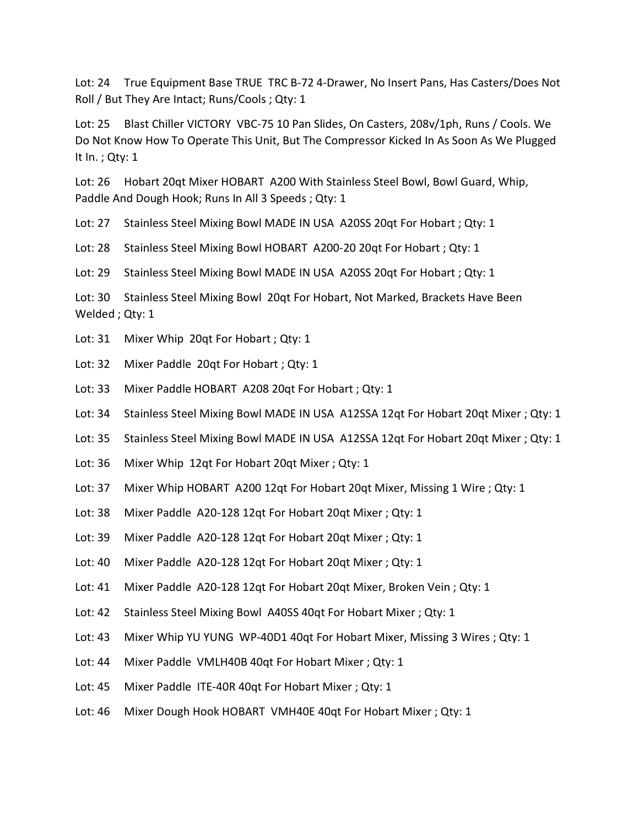Lot: 24 True Equipment Base TRUE TRC B-72 4-Drawer, No Insert Pans, Has Casters/Does Not Roll / But They Are Intact; Runs/Cools ; Qty: 1

Lot: 25 Blast Chiller VICTORY VBC-75 10 Pan Slides, On Casters, 208v/1ph, Runs / Cools. We Do Not Know How To Operate This Unit, But The Compressor Kicked In As Soon As We Plugged It In. ; Qty: 1

Lot: 26 Hobart 20qt Mixer HOBART A200 With Stainless Steel Bowl, Bowl Guard, Whip, Paddle And Dough Hook; Runs In All 3 Speeds ; Qty: 1

Lot: 27 Stainless Steel Mixing Bowl MADE IN USA A20SS 20qt For Hobart ; Qty: 1

Lot: 28 Stainless Steel Mixing Bowl HOBART A200-20 20qt For Hobart ; Qty: 1

Lot: 29 Stainless Steel Mixing Bowl MADE IN USA A20SS 20qt For Hobart ; Qty: 1

Lot: 30 Stainless Steel Mixing Bowl 20qt For Hobart, Not Marked, Brackets Have Been Welded ; Qty: 1

- Lot: 31 Mixer Whip 20qt For Hobart ; Qty: 1
- Lot: 32 Mixer Paddle 20gt For Hobart ; Qty: 1
- Lot: 33 Mixer Paddle HOBART A208 20qt For Hobart ; Qty: 1
- Lot: 34 Stainless Steel Mixing Bowl MADE IN USA A12SSA 12qt For Hobart 20qt Mixer ; Qty: 1
- Lot: 35 Stainless Steel Mixing Bowl MADE IN USA A12SSA 12qt For Hobart 20qt Mixer ; Qty: 1
- Lot: 36 Mixer Whip 12qt For Hobart 20qt Mixer ; Qty: 1
- Lot: 37 Mixer Whip HOBART A200 12qt For Hobart 20qt Mixer, Missing 1 Wire ; Qty: 1
- Lot: 38 Mixer Paddle A20-128 12qt For Hobart 20qt Mixer ; Qty: 1
- Lot: 39 Mixer Paddle A20-128 12qt For Hobart 20qt Mixer ; Qty: 1
- Lot: 40 Mixer Paddle A20-128 12qt For Hobart 20qt Mixer ; Qty: 1
- Lot: 41 Mixer Paddle A20-128 12qt For Hobart 20qt Mixer, Broken Vein ; Qty: 1
- Lot: 42 Stainless Steel Mixing Bowl A40SS 40qt For Hobart Mixer ; Qty: 1
- Lot: 43 Mixer Whip YU YUNG WP-40D1 40qt For Hobart Mixer, Missing 3 Wires ; Qty: 1
- Lot: 44 Mixer Paddle VMLH40B 40qt For Hobart Mixer ; Qty: 1
- Lot: 45 Mixer Paddle ITE-40R 40qt For Hobart Mixer ; Qty: 1
- Lot: 46 Mixer Dough Hook HOBART VMH40E 40qt For Hobart Mixer ; Qty: 1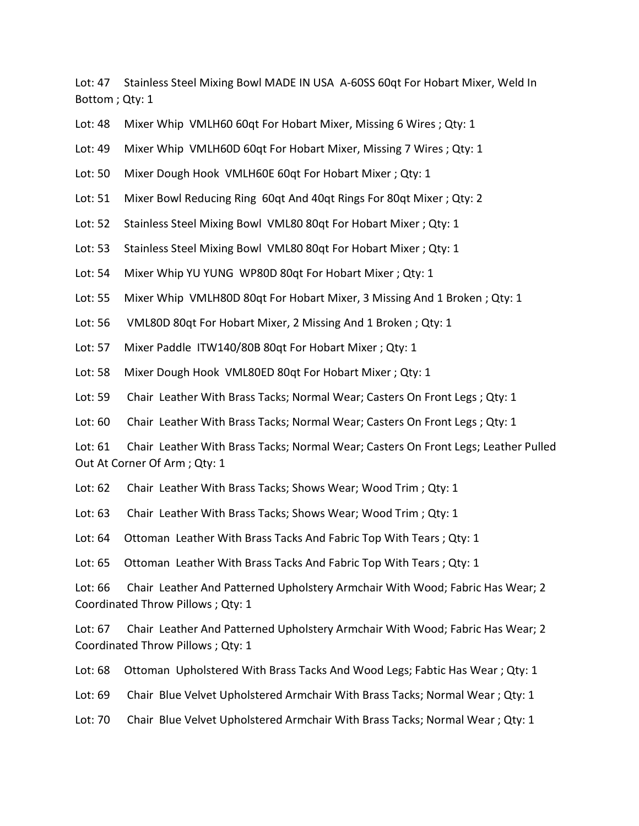Lot: 47 Stainless Steel Mixing Bowl MADE IN USA A-60SS 60qt For Hobart Mixer, Weld In Bottom ; Qty: 1

Lot: 48 Mixer Whip VMLH60 60qt For Hobart Mixer, Missing 6 Wires ; Qty: 1

Lot: 49 Mixer Whip VMLH60D 60qt For Hobart Mixer, Missing 7 Wires ; Qty: 1

Lot: 50 Mixer Dough Hook VMLH60E 60qt For Hobart Mixer ; Qty: 1

Lot: 51 Mixer Bowl Reducing Ring 60qt And 40qt Rings For 80qt Mixer ; Qty: 2

Lot: 52 Stainless Steel Mixing Bowl VML80 80qt For Hobart Mixer ; Qty: 1

Lot: 53 Stainless Steel Mixing Bowl VML80 80qt For Hobart Mixer ; Qty: 1

Lot: 54 Mixer Whip YU YUNG WP80D 80qt For Hobart Mixer ; Qty: 1

Lot: 55 Mixer Whip VMLH80D 80qt For Hobart Mixer, 3 Missing And 1 Broken ; Qty: 1

Lot: 56 VML80D 80qt For Hobart Mixer, 2 Missing And 1 Broken ; Qty: 1

Lot: 57 Mixer Paddle ITW140/80B 80qt For Hobart Mixer ; Qty: 1

Lot: 58 Mixer Dough Hook VML80ED 80qt For Hobart Mixer ; Qty: 1

Lot: 59 Chair Leather With Brass Tacks; Normal Wear; Casters On Front Legs ; Qty: 1

Lot: 60 Chair Leather With Brass Tacks; Normal Wear; Casters On Front Legs; Qty: 1

Lot: 61 Chair Leather With Brass Tacks; Normal Wear; Casters On Front Legs; Leather Pulled Out At Corner Of Arm ; Qty: 1

Lot: 62 Chair Leather With Brass Tacks; Shows Wear; Wood Trim ; Qty: 1

Lot: 63 Chair Leather With Brass Tacks; Shows Wear; Wood Trim; Qty: 1

Lot: 64 Ottoman Leather With Brass Tacks And Fabric Top With Tears ; Qty: 1

Lot: 65 Ottoman Leather With Brass Tacks And Fabric Top With Tears ; Qty: 1

Lot: 66 Chair Leather And Patterned Upholstery Armchair With Wood; Fabric Has Wear; 2 Coordinated Throw Pillows ; Qty: 1

Lot: 67 Chair Leather And Patterned Upholstery Armchair With Wood; Fabric Has Wear; 2 Coordinated Throw Pillows ; Qty: 1

Lot: 68 Ottoman Upholstered With Brass Tacks And Wood Legs; Fabtic Has Wear ; Qty: 1

Lot: 69 Chair Blue Velvet Upholstered Armchair With Brass Tacks; Normal Wear ; Qty: 1

Lot: 70 Chair Blue Velvet Upholstered Armchair With Brass Tacks; Normal Wear ; Qty: 1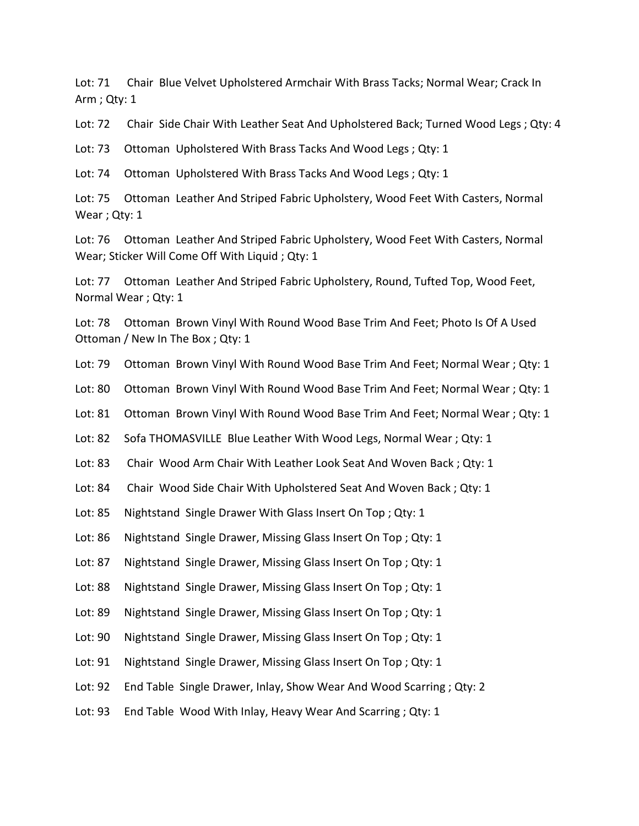Lot: 71 Chair Blue Velvet Upholstered Armchair With Brass Tacks; Normal Wear; Crack In Arm ; Qty: 1

Lot: 72 Chair Side Chair With Leather Seat And Upholstered Back; Turned Wood Legs ; Qty: 4

Lot: 73 Ottoman Upholstered With Brass Tacks And Wood Legs ; Qty: 1

Lot: 74 Ottoman Upholstered With Brass Tacks And Wood Legs ; Qty: 1

Lot: 75 Ottoman Leather And Striped Fabric Upholstery, Wood Feet With Casters, Normal Wear ; Qty: 1

Lot: 76 Ottoman Leather And Striped Fabric Upholstery, Wood Feet With Casters, Normal Wear; Sticker Will Come Off With Liquid ; Qty: 1

Lot: 77 Ottoman Leather And Striped Fabric Upholstery, Round, Tufted Top, Wood Feet, Normal Wear ; Qty: 1

Lot: 78 Ottoman Brown Vinyl With Round Wood Base Trim And Feet; Photo Is Of A Used Ottoman / New In The Box ; Qty: 1

Lot: 79 Ottoman Brown Vinyl With Round Wood Base Trim And Feet; Normal Wear ; Qty: 1

Lot: 80 Ottoman Brown Vinyl With Round Wood Base Trim And Feet; Normal Wear ; Qty: 1

Lot: 81 Ottoman Brown Vinyl With Round Wood Base Trim And Feet; Normal Wear ; Qty: 1

Lot: 82 Sofa THOMASVILLE Blue Leather With Wood Legs, Normal Wear; Qty: 1

Lot: 83 Chair Wood Arm Chair With Leather Look Seat And Woven Back ; Qty: 1

Lot: 84 Chair Wood Side Chair With Upholstered Seat And Woven Back ; Qty: 1

Lot: 85 Nightstand Single Drawer With Glass Insert On Top; Qty: 1

Lot: 86 Nightstand Single Drawer, Missing Glass Insert On Top; Qty: 1

Lot: 87 Nightstand Single Drawer, Missing Glass Insert On Top; Qty: 1

Lot: 88 Nightstand Single Drawer, Missing Glass Insert On Top; Qty: 1

Lot: 89 Nightstand Single Drawer, Missing Glass Insert On Top; Qty: 1

Lot: 90 Nightstand Single Drawer, Missing Glass Insert On Top; Qty: 1

Lot: 91 Nightstand Single Drawer, Missing Glass Insert On Top; Qty: 1

Lot: 92 End Table Single Drawer, Inlay, Show Wear And Wood Scarring ; Qty: 2

Lot: 93 End Table Wood With Inlay, Heavy Wear And Scarring ; Qty: 1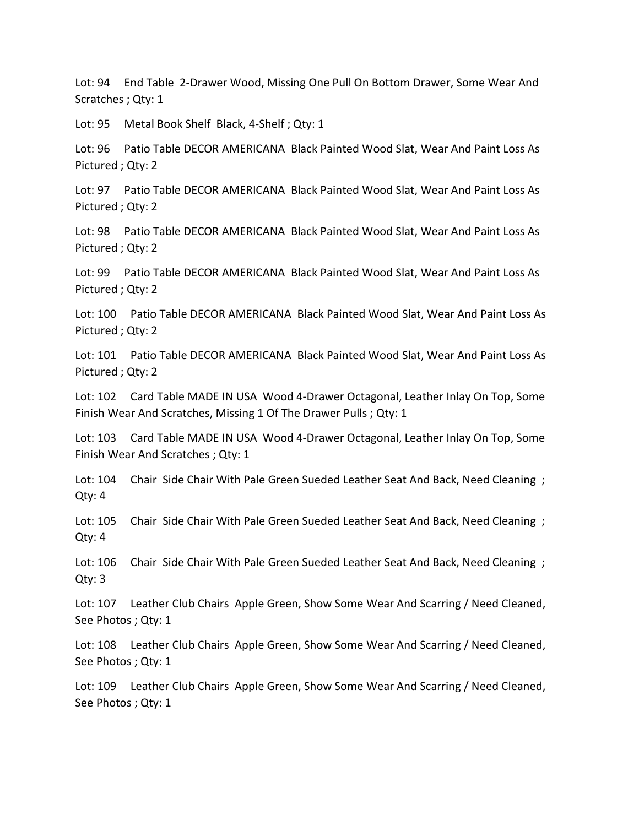Lot: 94 End Table 2-Drawer Wood, Missing One Pull On Bottom Drawer, Some Wear And Scratches ; Qty: 1

Lot: 95 Metal Book Shelf Black, 4-Shelf ; Qty: 1

Lot: 96 Patio Table DECOR AMERICANA Black Painted Wood Slat, Wear And Paint Loss As Pictured ; Qty: 2

Lot: 97 Patio Table DECOR AMERICANA Black Painted Wood Slat, Wear And Paint Loss As Pictured ; Qty: 2

Lot: 98 Patio Table DECOR AMERICANA Black Painted Wood Slat, Wear And Paint Loss As Pictured ; Qty: 2

Lot: 99 Patio Table DECOR AMERICANA Black Painted Wood Slat, Wear And Paint Loss As Pictured ; Qty: 2

Lot: 100 Patio Table DECOR AMERICANA Black Painted Wood Slat, Wear And Paint Loss As Pictured ; Qty: 2

Lot: 101 Patio Table DECOR AMERICANA Black Painted Wood Slat, Wear And Paint Loss As Pictured ; Qty: 2

Lot: 102 Card Table MADE IN USA Wood 4-Drawer Octagonal, Leather Inlay On Top, Some Finish Wear And Scratches, Missing 1 Of The Drawer Pulls ; Qty: 1

Lot: 103 Card Table MADE IN USA Wood 4-Drawer Octagonal, Leather Inlay On Top, Some Finish Wear And Scratches ; Qty: 1

Lot: 104 Chair Side Chair With Pale Green Sueded Leather Seat And Back, Need Cleaning ; Qty: 4

Lot: 105 Chair Side Chair With Pale Green Sueded Leather Seat And Back, Need Cleaning ; Qty: 4

Lot: 106 Chair Side Chair With Pale Green Sueded Leather Seat And Back, Need Cleaning; Qty: 3

Lot: 107 Leather Club Chairs Apple Green, Show Some Wear And Scarring / Need Cleaned, See Photos ; Qty: 1

Lot: 108 Leather Club Chairs Apple Green, Show Some Wear And Scarring / Need Cleaned, See Photos ; Qty: 1

Lot: 109 Leather Club Chairs Apple Green, Show Some Wear And Scarring / Need Cleaned, See Photos ; Qty: 1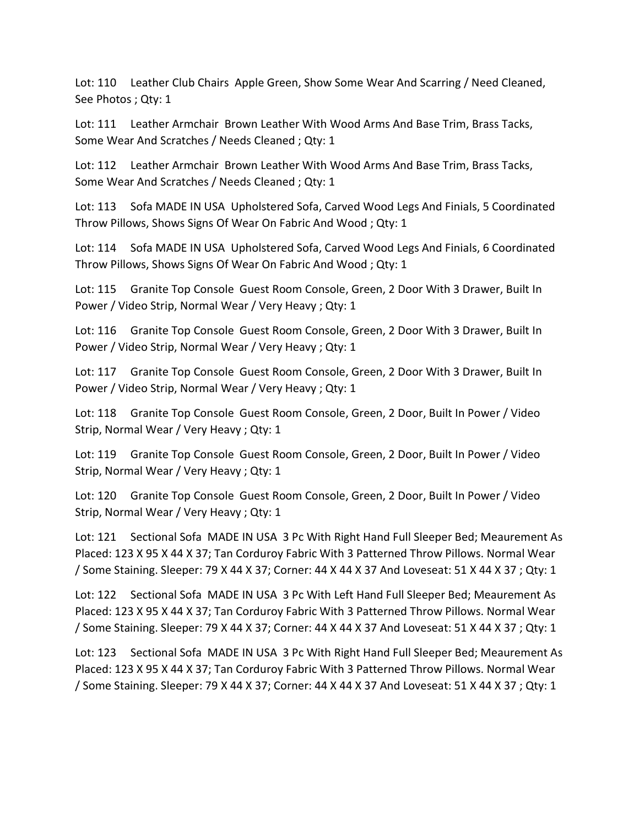Lot: 110 Leather Club Chairs Apple Green, Show Some Wear And Scarring / Need Cleaned, See Photos ; Qty: 1

Lot: 111 Leather Armchair Brown Leather With Wood Arms And Base Trim, Brass Tacks, Some Wear And Scratches / Needs Cleaned ; Qty: 1

Lot: 112 Leather Armchair Brown Leather With Wood Arms And Base Trim, Brass Tacks, Some Wear And Scratches / Needs Cleaned ; Qty: 1

Lot: 113 Sofa MADE IN USA Upholstered Sofa, Carved Wood Legs And Finials, 5 Coordinated Throw Pillows, Shows Signs Of Wear On Fabric And Wood ; Qty: 1

Lot: 114 Sofa MADE IN USA Upholstered Sofa, Carved Wood Legs And Finials, 6 Coordinated Throw Pillows, Shows Signs Of Wear On Fabric And Wood ; Qty: 1

Lot: 115 Granite Top Console Guest Room Console, Green, 2 Door With 3 Drawer, Built In Power / Video Strip, Normal Wear / Very Heavy ; Qty: 1

Lot: 116 Granite Top Console Guest Room Console, Green, 2 Door With 3 Drawer, Built In Power / Video Strip, Normal Wear / Very Heavy ; Qty: 1

Lot: 117 Granite Top Console Guest Room Console, Green, 2 Door With 3 Drawer, Built In Power / Video Strip, Normal Wear / Very Heavy ; Qty: 1

Lot: 118 Granite Top Console Guest Room Console, Green, 2 Door, Built In Power / Video Strip, Normal Wear / Very Heavy ; Qty: 1

Lot: 119 Granite Top Console Guest Room Console, Green, 2 Door, Built In Power / Video Strip, Normal Wear / Very Heavy ; Qty: 1

Lot: 120 Granite Top Console Guest Room Console, Green, 2 Door, Built In Power / Video Strip, Normal Wear / Very Heavy ; Qty: 1

Lot: 121 Sectional Sofa MADE IN USA 3 Pc With Right Hand Full Sleeper Bed; Meaurement As Placed: 123 X 95 X 44 X 37; Tan Corduroy Fabric With 3 Patterned Throw Pillows. Normal Wear / Some Staining. Sleeper: 79 X 44 X 37; Corner: 44 X 44 X 37 And Loveseat: 51 X 44 X 37 ; Qty: 1

Lot: 122 Sectional Sofa MADE IN USA 3 Pc With Left Hand Full Sleeper Bed; Meaurement As Placed: 123 X 95 X 44 X 37; Tan Corduroy Fabric With 3 Patterned Throw Pillows. Normal Wear / Some Staining. Sleeper: 79 X 44 X 37; Corner: 44 X 44 X 37 And Loveseat: 51 X 44 X 37 ; Qty: 1

Lot: 123 Sectional Sofa MADE IN USA 3 Pc With Right Hand Full Sleeper Bed; Meaurement As Placed: 123 X 95 X 44 X 37; Tan Corduroy Fabric With 3 Patterned Throw Pillows. Normal Wear / Some Staining. Sleeper: 79 X 44 X 37; Corner: 44 X 44 X 37 And Loveseat: 51 X 44 X 37 ; Qty: 1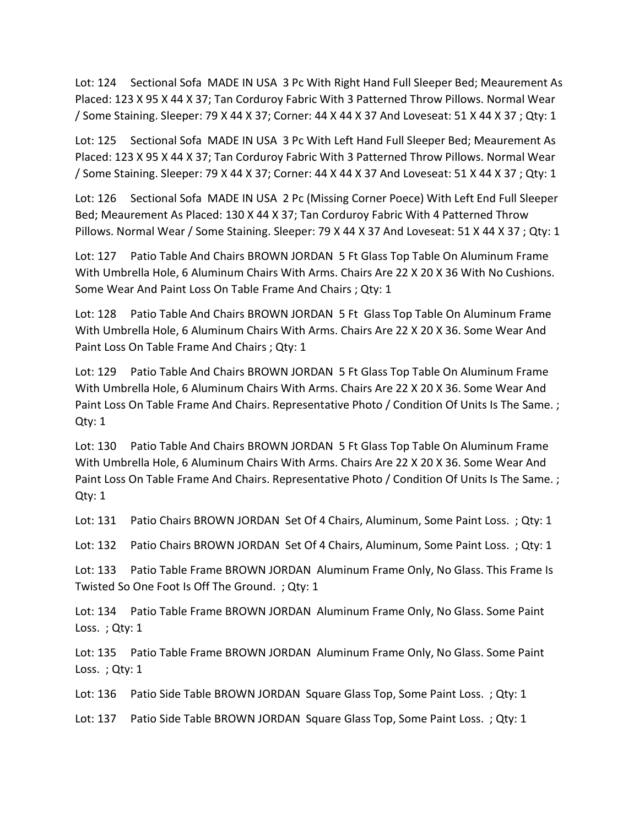Lot: 124 Sectional Sofa MADE IN USA 3 Pc With Right Hand Full Sleeper Bed; Meaurement As Placed: 123 X 95 X 44 X 37; Tan Corduroy Fabric With 3 Patterned Throw Pillows. Normal Wear / Some Staining. Sleeper: 79 X 44 X 37; Corner: 44 X 44 X 37 And Loveseat: 51 X 44 X 37 ; Qty: 1

Lot: 125 Sectional Sofa MADE IN USA 3 Pc With Left Hand Full Sleeper Bed; Meaurement As Placed: 123 X 95 X 44 X 37; Tan Corduroy Fabric With 3 Patterned Throw Pillows. Normal Wear / Some Staining. Sleeper: 79 X 44 X 37; Corner: 44 X 44 X 37 And Loveseat: 51 X 44 X 37 ; Qty: 1

Lot: 126 Sectional Sofa MADE IN USA 2 Pc (Missing Corner Poece) With Left End Full Sleeper Bed; Meaurement As Placed: 130 X 44 X 37; Tan Corduroy Fabric With 4 Patterned Throw Pillows. Normal Wear / Some Staining. Sleeper: 79 X 44 X 37 And Loveseat: 51 X 44 X 37 ; Qty: 1

Lot: 127 Patio Table And Chairs BROWN JORDAN 5 Ft Glass Top Table On Aluminum Frame With Umbrella Hole, 6 Aluminum Chairs With Arms. Chairs Are 22 X 20 X 36 With No Cushions. Some Wear And Paint Loss On Table Frame And Chairs ; Qty: 1

Lot: 128 Patio Table And Chairs BROWN JORDAN 5 Ft Glass Top Table On Aluminum Frame With Umbrella Hole, 6 Aluminum Chairs With Arms. Chairs Are 22 X 20 X 36. Some Wear And Paint Loss On Table Frame And Chairs ; Qty: 1

Lot: 129 Patio Table And Chairs BROWN JORDAN 5 Ft Glass Top Table On Aluminum Frame With Umbrella Hole, 6 Aluminum Chairs With Arms. Chairs Are 22 X 20 X 36. Some Wear And Paint Loss On Table Frame And Chairs. Representative Photo / Condition Of Units Is The Same.; Qty: 1

Lot: 130 Patio Table And Chairs BROWN JORDAN 5 Ft Glass Top Table On Aluminum Frame With Umbrella Hole, 6 Aluminum Chairs With Arms. Chairs Are 22 X 20 X 36. Some Wear And Paint Loss On Table Frame And Chairs. Representative Photo / Condition Of Units Is The Same.; Qty: 1

Lot: 131 Patio Chairs BROWN JORDAN Set Of 4 Chairs, Aluminum, Some Paint Loss. ; Qty: 1

Lot: 132 Patio Chairs BROWN JORDAN Set Of 4 Chairs, Aluminum, Some Paint Loss. ; Qty: 1

Lot: 133 Patio Table Frame BROWN JORDAN Aluminum Frame Only, No Glass. This Frame Is Twisted So One Foot Is Off The Ground. ; Qty: 1

Lot: 134 Patio Table Frame BROWN JORDAN Aluminum Frame Only, No Glass. Some Paint Loss. ; Qty: 1

Lot: 135 Patio Table Frame BROWN JORDAN Aluminum Frame Only, No Glass. Some Paint Loss.; Qty: 1

Lot: 136 Patio Side Table BROWN JORDAN Square Glass Top, Some Paint Loss. ; Qty: 1

Lot: 137 Patio Side Table BROWN JORDAN Square Glass Top, Some Paint Loss. ; Qty: 1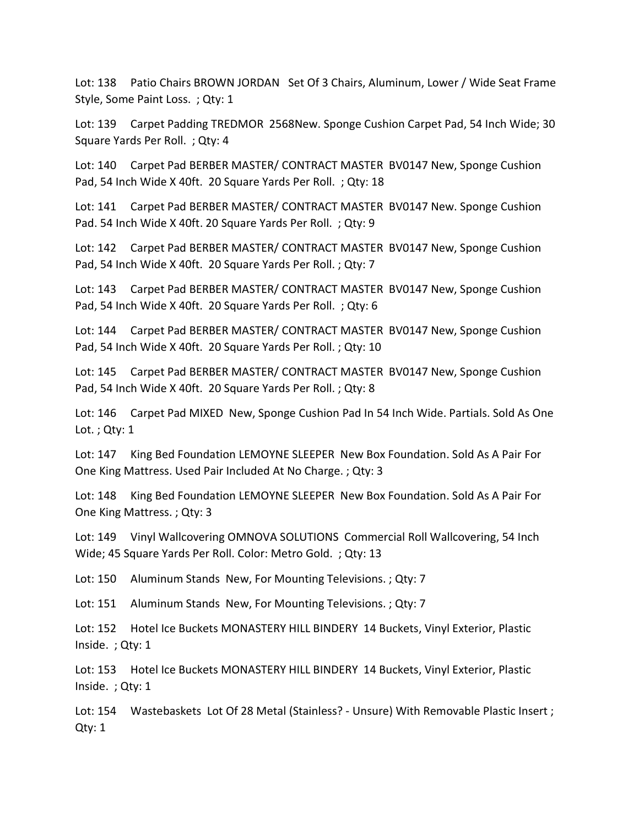Lot: 138 Patio Chairs BROWN JORDAN Set Of 3 Chairs, Aluminum, Lower / Wide Seat Frame Style, Some Paint Loss. ; Qty: 1

Lot: 139 Carpet Padding TREDMOR 2568New. Sponge Cushion Carpet Pad, 54 Inch Wide; 30 Square Yards Per Roll. ; Qty: 4

Lot: 140 Carpet Pad BERBER MASTER/ CONTRACT MASTER BV0147 New, Sponge Cushion Pad, 54 Inch Wide X 40ft. 20 Square Yards Per Roll. ; Qty: 18

Lot: 141 Carpet Pad BERBER MASTER/ CONTRACT MASTER BV0147 New. Sponge Cushion Pad. 54 Inch Wide X 40ft. 20 Square Yards Per Roll. ; Qty: 9

Lot: 142 Carpet Pad BERBER MASTER/ CONTRACT MASTER BV0147 New, Sponge Cushion Pad, 54 Inch Wide X 40ft. 20 Square Yards Per Roll. ; Qty: 7

Lot: 143 Carpet Pad BERBER MASTER/ CONTRACT MASTER BV0147 New, Sponge Cushion Pad, 54 Inch Wide X 40ft. 20 Square Yards Per Roll. ; Qty: 6

Lot: 144 Carpet Pad BERBER MASTER/ CONTRACT MASTER BV0147 New, Sponge Cushion Pad, 54 Inch Wide X 40ft. 20 Square Yards Per Roll. ; Qty: 10

Lot: 145 Carpet Pad BERBER MASTER/ CONTRACT MASTER BV0147 New, Sponge Cushion Pad, 54 Inch Wide X 40ft. 20 Square Yards Per Roll. ; Qty: 8

Lot: 146 Carpet Pad MIXED New, Sponge Cushion Pad In 54 Inch Wide. Partials. Sold As One Lot. ; Qty: 1

Lot: 147 King Bed Foundation LEMOYNE SLEEPER New Box Foundation. Sold As A Pair For One King Mattress. Used Pair Included At No Charge. ; Qty: 3

Lot: 148 King Bed Foundation LEMOYNE SLEEPER New Box Foundation. Sold As A Pair For One King Mattress. ; Qty: 3

Lot: 149 Vinyl Wallcovering OMNOVA SOLUTIONS Commercial Roll Wallcovering, 54 Inch Wide; 45 Square Yards Per Roll. Color: Metro Gold. ; Qty: 13

Lot: 150 Aluminum Stands New, For Mounting Televisions. ; Qty: 7

Lot: 151 Aluminum Stands New, For Mounting Televisions. ; Qty: 7

Lot: 152 Hotel Ice Buckets MONASTERY HILL BINDERY 14 Buckets, Vinyl Exterior, Plastic Inside. ; Qty: 1

Lot: 153 Hotel Ice Buckets MONASTERY HILL BINDERY 14 Buckets, Vinyl Exterior, Plastic Inside. ; Qty: 1

Lot: 154 Wastebaskets Lot Of 28 Metal (Stainless? - Unsure) With Removable Plastic Insert ; Qty: 1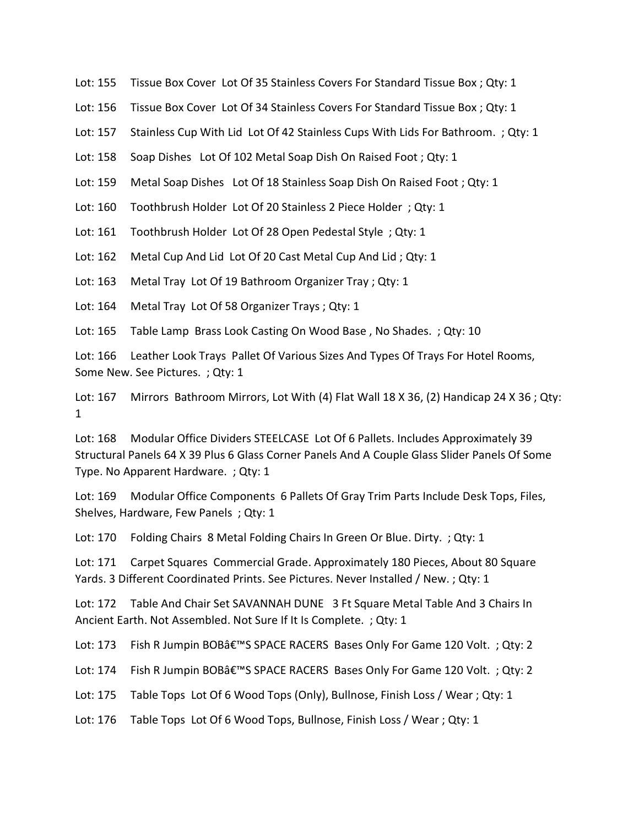- Lot: 155 Tissue Box Cover Lot Of 35 Stainless Covers For Standard Tissue Box ; Qty: 1
- Lot: 156 Tissue Box Cover Lot Of 34 Stainless Covers For Standard Tissue Box ; Qty: 1
- Lot: 157 Stainless Cup With Lid Lot Of 42 Stainless Cups With Lids For Bathroom. ; Qty: 1
- Lot: 158 Soap Dishes Lot Of 102 Metal Soap Dish On Raised Foot ; Qty: 1
- Lot: 159 Metal Soap Dishes Lot Of 18 Stainless Soap Dish On Raised Foot ; Qty: 1
- Lot: 160 Toothbrush Holder Lot Of 20 Stainless 2 Piece Holder ; Qty: 1
- Lot: 161 Toothbrush Holder Lot Of 28 Open Pedestal Style ; Qty: 1
- Lot: 162 Metal Cup And Lid Lot Of 20 Cast Metal Cup And Lid ; Qty: 1
- Lot: 163 Metal Tray Lot Of 19 Bathroom Organizer Tray ; Qty: 1
- Lot: 164 Metal Tray Lot Of 58 Organizer Trays ; Qty: 1
- Lot: 165 Table Lamp Brass Look Casting On Wood Base, No Shades.; Qty: 10

Lot: 166 Leather Look Trays Pallet Of Various Sizes And Types Of Trays For Hotel Rooms, Some New. See Pictures. ; Qty: 1

Lot: 167 Mirrors Bathroom Mirrors, Lot With (4) Flat Wall 18 X 36, (2) Handicap 24 X 36; Qty: 1

Lot: 168 Modular Office Dividers STEELCASE Lot Of 6 Pallets. Includes Approximately 39 Structural Panels 64 X 39 Plus 6 Glass Corner Panels And A Couple Glass Slider Panels Of Some Type. No Apparent Hardware. ; Qty: 1

Lot: 169 Modular Office Components 6 Pallets Of Gray Trim Parts Include Desk Tops, Files, Shelves, Hardware, Few Panels ; Qty: 1

Lot: 170 Folding Chairs 8 Metal Folding Chairs In Green Or Blue. Dirty. ; Qty: 1

Lot: 171 Carpet Squares Commercial Grade. Approximately 180 Pieces, About 80 Square Yards. 3 Different Coordinated Prints. See Pictures. Never Installed / New. ; Qty: 1

Lot: 172 Table And Chair Set SAVANNAH DUNE 3 Ft Square Metal Table And 3 Chairs In Ancient Earth. Not Assembled. Not Sure If It Is Complete. ; Qty: 1

Lot: 173 Fish R Jumpin BOB'S SPACE RACERS Bases Only For Game 120 Volt. ; Qty: 2

Lot: 174 Fish R Jumpin BOB'S SPACE RACERS Bases Only For Game 120 Volt. ; Qty: 2

Lot: 175 Table Tops Lot Of 6 Wood Tops (Only), Bullnose, Finish Loss / Wear ; Qty: 1

Lot: 176 Table Tops Lot Of 6 Wood Tops, Bullnose, Finish Loss / Wear ; Qty: 1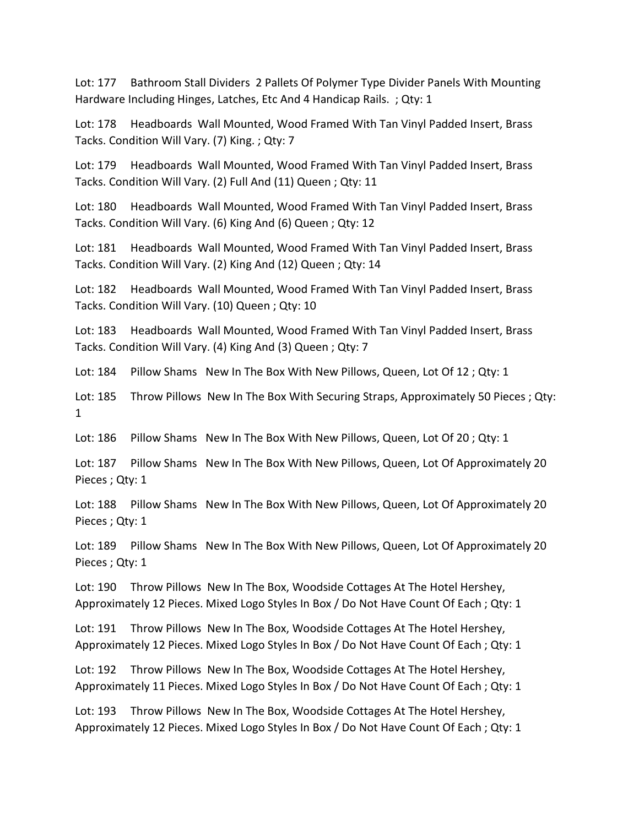Lot: 177 Bathroom Stall Dividers 2 Pallets Of Polymer Type Divider Panels With Mounting Hardware Including Hinges, Latches, Etc And 4 Handicap Rails. ; Qty: 1

Lot: 178 Headboards Wall Mounted, Wood Framed With Tan Vinyl Padded Insert, Brass Tacks. Condition Will Vary. (7) King. ; Qty: 7

Lot: 179 Headboards Wall Mounted, Wood Framed With Tan Vinyl Padded Insert, Brass Tacks. Condition Will Vary. (2) Full And (11) Queen ; Qty: 11

Lot: 180 Headboards Wall Mounted, Wood Framed With Tan Vinyl Padded Insert, Brass Tacks. Condition Will Vary. (6) King And (6) Queen ; Qty: 12

Lot: 181 Headboards Wall Mounted, Wood Framed With Tan Vinyl Padded Insert, Brass Tacks. Condition Will Vary. (2) King And (12) Queen ; Qty: 14

Lot: 182 Headboards Wall Mounted, Wood Framed With Tan Vinyl Padded Insert, Brass Tacks. Condition Will Vary. (10) Queen ; Qty: 10

Lot: 183 Headboards Wall Mounted, Wood Framed With Tan Vinyl Padded Insert, Brass Tacks. Condition Will Vary. (4) King And (3) Queen ; Qty: 7

Lot: 184 Pillow Shams New In The Box With New Pillows, Queen, Lot Of 12; Qty: 1

Lot: 185 Throw Pillows New In The Box With Securing Straps, Approximately 50 Pieces ; Qty: 1

Lot: 186 Pillow Shams New In The Box With New Pillows, Queen, Lot Of 20 ; Qty: 1

Lot: 187 Pillow Shams New In The Box With New Pillows, Queen, Lot Of Approximately 20 Pieces ; Qty: 1

Lot: 188 Pillow Shams New In The Box With New Pillows, Queen, Lot Of Approximately 20 Pieces ; Qty: 1

Lot: 189 Pillow Shams New In The Box With New Pillows, Queen, Lot Of Approximately 20 Pieces ; Qty: 1

Lot: 190 Throw Pillows New In The Box, Woodside Cottages At The Hotel Hershey, Approximately 12 Pieces. Mixed Logo Styles In Box / Do Not Have Count Of Each ; Qty: 1

Lot: 191 Throw Pillows New In The Box, Woodside Cottages At The Hotel Hershey, Approximately 12 Pieces. Mixed Logo Styles In Box / Do Not Have Count Of Each ; Qty: 1

Lot: 192 Throw Pillows New In The Box, Woodside Cottages At The Hotel Hershey, Approximately 11 Pieces. Mixed Logo Styles In Box / Do Not Have Count Of Each ; Qty: 1

Lot: 193 Throw Pillows New In The Box, Woodside Cottages At The Hotel Hershey, Approximately 12 Pieces. Mixed Logo Styles In Box / Do Not Have Count Of Each ; Qty: 1